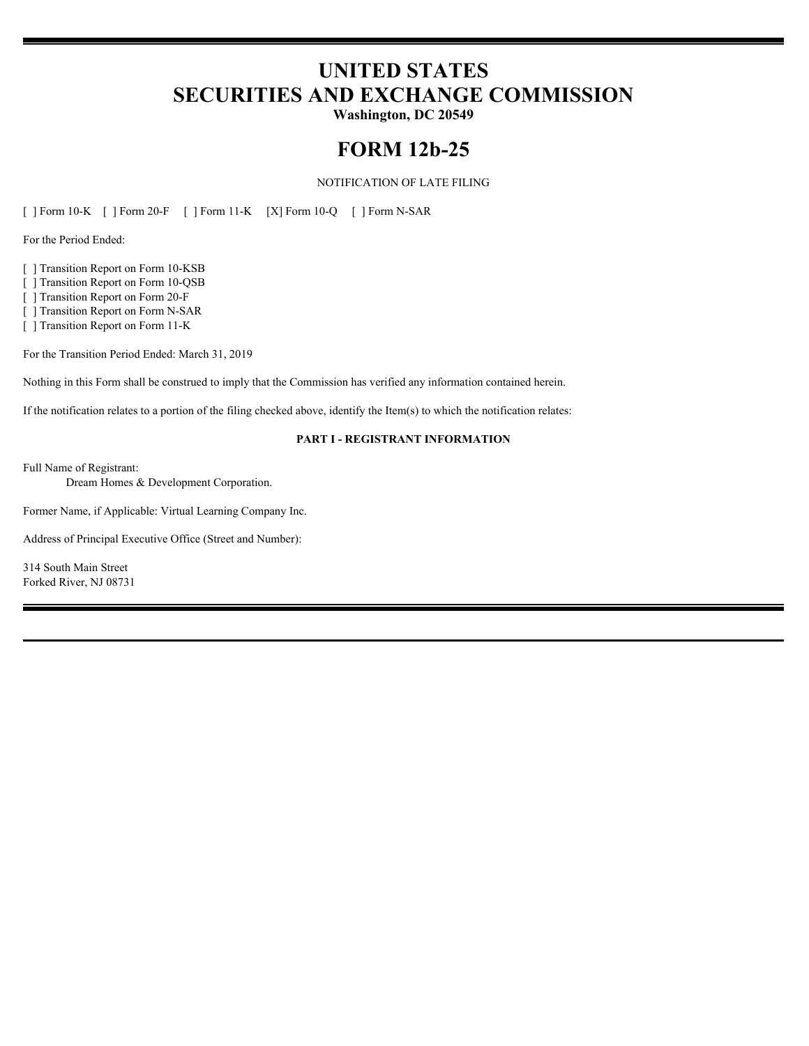# **UNITED STATES SECURITIES AND EXCHANGE COMMISSION**

**Washington, DC 20549**

# **FORM 12b-25**

## NOTIFICATION OF LATE FILING

[ ] Form 10-K [ ] Form 20-F [ ] Form 11-K [X] Form 10-Q [ ] Form N-SAR

For the Period Ended:

[ ] Transition Report on Form 10-KSB

[ ] Transition Report on Form 10-QSB

[ ] Transition Report on Form 20-F

[ ] Transition Report on Form N-SAR

[ ] Transition Report on Form 11-K

For the Transition Period Ended: March 31, 2019

Nothing in this Form shall be construed to imply that the Commission has verified any information contained herein.

If the notification relates to a portion of the filing checked above, identify the Item(s) to which the notification relates:

#### **PART I - REGISTRANT INFORMATION**

Full Name of Registrant:

Dream Homes & Development Corporation.

Former Name, if Applicable: Virtual Learning Company Inc.

Address of Principal Executive Office (Street and Number):

314 South Main Street Forked River, NJ 08731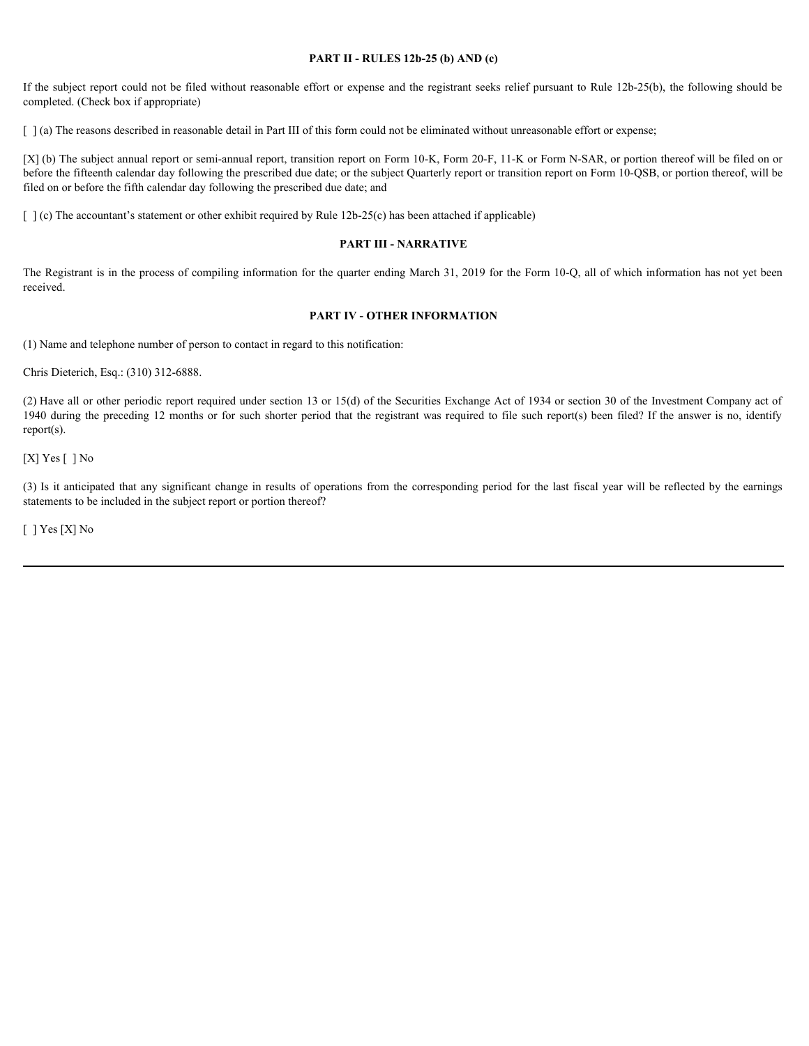#### **PART II - RULES 12b-25 (b) AND (c)**

If the subject report could not be filed without reasonable effort or expense and the registrant seeks relief pursuant to Rule 12b-25(b), the following should be completed. (Check box if appropriate)

[  $\alpha$ ] (a) The reasons described in reasonable detail in Part III of this form could not be eliminated without unreasonable effort or expense;

[X] (b) The subject annual report or semi-annual report, transition report on Form 10-K, Form 20-F, 11-K or Form N-SAR, or portion thereof will be filed on or before the fifteenth calendar day following the prescribed due date; or the subject Quarterly report or transition report on Form 10-QSB, or portion thereof, will be filed on or before the fifth calendar day following the prescribed due date; and Fits subject report could not be fitel without reasonable effort or expense and the registrant secks relative participates of completed (10x3) the following abould be completed (11x2) in reason-color and the last any sign

 $\lceil \cdot \rceil$  (c) The accountant's statement or other exhibit required by Rule 12b-25(c) has been attached if applicable)

#### **PART III - NARRATIVE**

The Registrant is in the process of compiling information for the quarter ending March 31, 2019 for the Form 10-Q, all of which information has not yet been received.

#### **PART IV - OTHER INFORMATION**

(1) Name and telephone number of person to contact in regard to this notification:

Chris Dieterich, Esq.: (310) 312-6888.

(2) Have all or other periodic report required under section 13 or 15(d) of the Securities Exchange Act of 1934 or section 30 of the Investment Company act of 1940 during the preceding 12 months or for such shorter period that the registrant was required to file such report(s) been filed? If the answer is no, identify report(s).

[X] Yes [] No

statements to be included in the subject report or portion thereof?

[ ] Yes [X] No